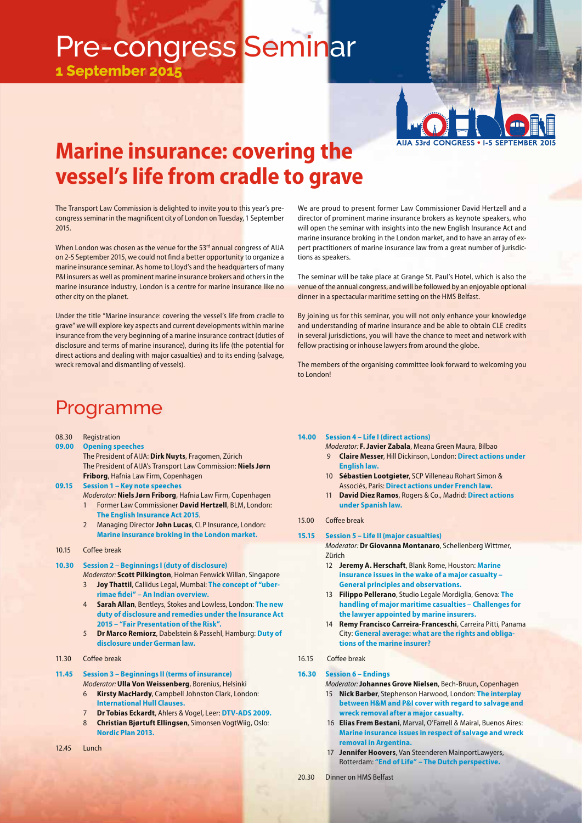# Pre-congress Seminar

**1 September 201** 



## **Marine insurance: covering the vessel's life from cradle to grave**

The Transport Law Commission is delighted to invite you to this year's precongress seminar in the magnificent city of London on Tuesday, 1 September 2015.

When London was chosen as the venue for the 53rd annual congress of AIJA on 2-5 September 2015, we could not find a better opportunity to organize a marine insurance seminar. As home to Lloyd's and the headquarters of many P&I insurers as well as prominent marine insurance brokers and others in the marine insurance industry, London is a centre for marine insurance like no other city on the planet.

Under the title "Marine insurance: covering the vessel's life from cradle to grave" we will explore key aspects and current developments within marine insurance from the very beginning of a marine insurance contract (duties of disclosure and terms of marine insurance), during its life (the potential for direct actions and dealing with major casualties) and to its ending (salvage, wreck removal and dismantling of vessels).

## Programme

| 08.30 | Registration |
|-------|--------------|
|-------|--------------|

- **09.00 Opening speeches** The President of AIJA: **Dirk Nuyts**, Fragomen, Zürich The President of AIJA's Transport Law Commission: **Niels Jørn Friborg**, Hafnia Law Firm, Copenhagen
- **09.15 Session 1 Key note speeches**
	- Moderator: **Niels Jørn Friborg**, Hafnia Law Firm, Copenhagen 1 Former Law Commissioner **David Hertzell**, BLM, London: **The English Insurance Act 2015**.
	- 2 Managing Director **John Lucas**, CLP Insurance, London: **Marine insurance broking in the London market.**
- 10.15 Coffee break
- **10.30 Session 2 Beginnings I (duty of disclosure)**
	- Moderator: **Scott Pilkington**, Holman Fenwick Willan, Singapore 3 **Joy Thattil**, Callidus Legal, Mumbai: **The concept of "uberrimae fi dei" – An Indian overview.**
	- 4 **Sarah Allan**, Bentleys, Stokes and Lowless, London: **The new duty of disclosure and remedies under the Insurance Act 2015 – "Fair Presentation of the Risk".**
	- 5 **Dr Marco Remiorz**, Dabelstein & Passehl, Hamburg: **Duty of disclosure under German law.**
- 11.30 Coffee break
- **11.45 Session 3 Beginnings II (terms of insurance)**
	- Moderator: **Ulla Von Weissenberg**, Borenius, Helsinki 6 **Kirsty MacHardy**, Campbell Johnston Clark, London: **International Hull Clauses.**
	- 7 **Dr Tobias Eckardt**, Ahlers & Vogel, Leer: **DTV-ADS 2009.**
	- 8 **Christian Bjørtuft Ellingsen**, Simonsen VogtWiig, Oslo: **Nordic Plan 2013.**
- $12.45$  Lunch

We are proud to present former Law Commissioner David Hertzell and a director of prominent marine insurance brokers as keynote speakers, who will open the seminar with insights into the new English Insurance Act and marine insurance broking in the London market, and to have an array of expert practitioners of marine insurance law from a great number of jurisdictions as speakers.

The seminar will be take place at Grange St. Paul's Hotel, which is also the venue of the annual congress, and will be followed by an enjoyable optional dinner in a spectacular maritime setting on the HMS Belfast.

By joining us for this seminar, you will not only enhance your knowledge and understanding of marine insurance and be able to obtain CLE credits in several jurisdictions, you will have the chance to meet and network with fellow practising or inhouse lawyers from around the globe.

The members of the organising committee look forward to welcoming you to London!

**14.00 Session 4 – Life I (direct actions)**

- Moderator: **F. Javier Zabala**, Meana Green Maura, Bilbao 9 **Claire Messer**, Hill Dickinson, London: **Direct actions under English law.**
- 10 **Sébastien Lootgieter**, SCP Villeneau Rohart Simon & Associés, Paris: **Direct actions under French law.**
- 11 **David Diez Ramos**, Rogers & Co., Madrid: **Direct actions under Spanish law.**

#### 15.00 Coffee break

**15.15 Session 5 – Life II (major casualties)**

Moderator: **Dr Giovanna Montanaro**, Schellenberg Wittmer, Zürich

- 12 **Jeremy A. Herschaft**, Blank Rome, Houston: **Marine insurance issues in the wake of a major casualty – General principles and observations.**
- 13 **Filippo Pellerano**, Studio Legale Mordiglia, Genova: **The handling of major maritime casualties – Challenges for the lawyer appointed by marine insurers.**
- 14 **Remy Francisco Carreira-Franceschi**, Carreira Pitti, Panama City: **General average: what are the rights and obligations of the marine insurer?**

### 16.15 Coffee break

#### **16.30 Session 6 – Endings**

- Moderator: **Johannes Grove Nielsen**, Bech-Bruun, Copenhagen 15 **Nick Barber**, Stephenson Harwood, London: **The interplay between H&M and P&I cover with regard to salvage and wreck removal after a major casualty.**
- 16 **Elias Frem Bestani**, Marval, O'Farrell & Mairal, Buenos Aires: **Marine insurance issues in respect of salvage and wreck removal in Argentina.**
- 17 **Jennifer Hoovers**, Van Steenderen MainportLawyers, Rotterdam: **"End of Life" – The Dutch perspective.**

20.30 Dinner on HMS Belfast